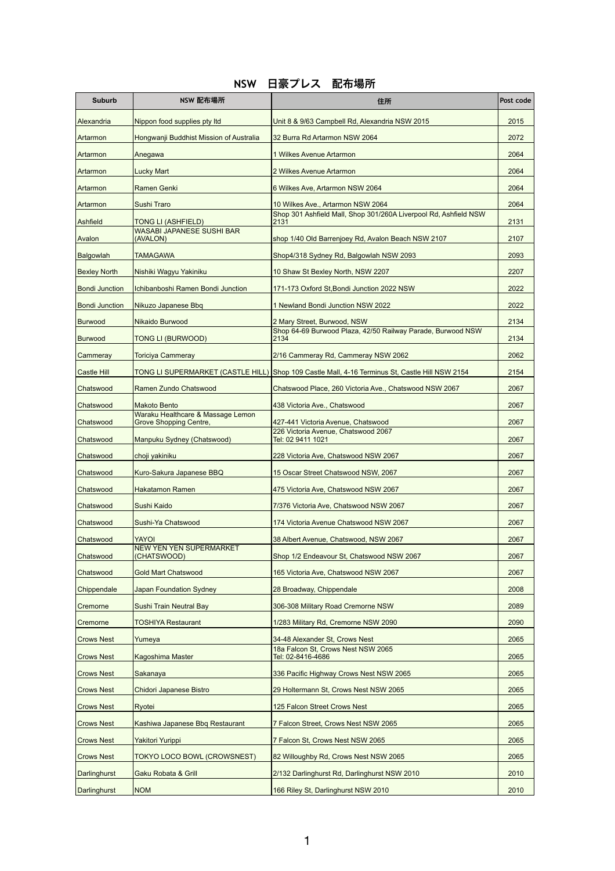## **NSW** 日豪プレス 配布場所

| <b>Suburb</b>         | NSW 配布場所                                                           | 住所                                                                                             | Post code |
|-----------------------|--------------------------------------------------------------------|------------------------------------------------------------------------------------------------|-----------|
| Alexandria            | Nippon food supplies pty Itd                                       | Unit 8 & 9/63 Campbell Rd, Alexandria NSW 2015                                                 | 2015      |
| Artarmon              | Hongwanji Buddhist Mission of Australia                            | 32 Burra Rd Artarmon NSW 2064                                                                  | 2072      |
| Artarmon              | Anegawa                                                            | 1 Wilkes Avenue Artarmon                                                                       | 2064      |
| Artarmon              | <b>Lucky Mart</b>                                                  | 2 Wilkes Avenue Artarmon                                                                       | 2064      |
| Artarmon              | <b>Ramen Genki</b>                                                 | 6 Wilkes Ave, Artarmon NSW 2064                                                                | 2064      |
| Artarmon              | <b>Sushi Traro</b>                                                 | 10 Wilkes Ave., Artarmon NSW 2064                                                              | 2064      |
| <b>Ashfield</b>       | <b>TONG LI (ASHFIELD)</b>                                          | Shop 301 Ashfield Mall, Shop 301/260A Liverpool Rd, Ashfield NSW<br>2131                       | 2131      |
| Avalon                | <b>WASABI JAPANESE SUSHI BAR</b><br>(AVALON)                       | shop 1/40 Old Barrenjoey Rd, Avalon Beach NSW 2107                                             | 2107      |
| <b>Balgowlah</b>      | <b>TAMAGAWA</b>                                                    | Shop4/318 Sydney Rd, Balgowlah NSW 2093                                                        | 2093      |
| <b>Bexley North</b>   | Nishiki Wagyu Yakiniku                                             | 10 Shaw St Bexley North, NSW 2207                                                              | 2207      |
| <b>Bondi Junction</b> | Ichibanboshi Ramen Bondi Junction                                  | 171-173 Oxford St, Bondi Junction 2022 NSW                                                     | 2022      |
| <b>Bondi Junction</b> | Nikuzo Japanese Bbq                                                | 1 Newland Bondi Junction NSW 2022                                                              | 2022      |
| <b>Burwood</b>        | Nikaido Burwood                                                    | 2 Mary Street, Burwood, NSW                                                                    | 2134      |
| <b>Burwood</b>        | <b>TONG LI (BURWOOD)</b>                                           | Shop 64-69 Burwood Plaza, 42/50 Railway Parade, Burwood NSW<br>2134                            | 2134      |
| Cammeray              | <b>Toriciya Cammeray</b>                                           | 2/16 Cammeray Rd, Cammeray NSW 2062                                                            | 2062      |
| <b>Castle Hill</b>    |                                                                    | TONG LI SUPERMARKET (CASTLE HILL) Shop 109 Castle Mall, 4-16 Terminus St, Castle Hill NSW 2154 | 2154      |
| Chatswood             | Ramen Zundo Chatswood                                              | Chatswood Place, 260 Victoria Ave., Chatswood NSW 2067                                         | 2067      |
| Chatswood             | <b>Makoto Bento</b>                                                | 438 Victoria Ave., Chatswood                                                                   | 2067      |
| Chatswood             | Waraku Healthcare & Massage Lemon<br><b>Grove Shopping Centre,</b> | 427-441 Victoria Avenue, Chatswood                                                             | 2067      |
|                       |                                                                    | 226 Victoria Avenue, Chatswood 2067                                                            |           |
| Chatswood             | Manpuku Sydney (Chatswood)                                         | Tel: 02 9411 1021                                                                              | 2067      |
| Chatswood             | choji yakiniku                                                     | 228 Victoria Ave, Chatswood NSW 2067                                                           | 2067      |
| Chatswood             | Kuro-Sakura Japanese BBQ                                           | 15 Oscar Street Chatswood NSW, 2067                                                            | 2067      |
| Chatswood             | <b>Hakatamon Ramen</b>                                             | 475 Victoria Ave, Chatswood NSW 2067                                                           | 2067      |
| Chatswood             | Sushi Kaido                                                        | 7/376 Victoria Ave, Chatswood NSW 2067                                                         | 2067      |
| Chatswood             | Sushi-Ya Chatswood                                                 | 174 Victoria Avenue Chatswood NSW 2067                                                         | 2067      |
| Chatswood             | <b>YAYOI</b><br><b>NEW YEN YEN SUPERMARKET</b>                     | 38 Albert Avenue, Chatswood, NSW 2067                                                          | 2067      |
| Chatswood             | (CHATSWOOD)                                                        | Shop 1/2 Endeavour St, Chatswood NSW 2067                                                      | 2067      |
| Chatswood             | <b>Gold Mart Chatswood</b>                                         | 165 Victoria Ave, Chatswood NSW 2067                                                           | 2067      |
| Chippendale           | <b>Japan Foundation Sydney</b>                                     | 28 Broadway, Chippendale                                                                       | 2008      |
| Cremorne              | Sushi Train Neutral Bay                                            | 306-308 Military Road Cremorne NSW                                                             | 2089      |
| Cremorne              | <b>TOSHIYA Restaurant</b>                                          | 1/283 Military Rd, Cremorne NSW 2090                                                           | 2090      |
| <b>Crows Nest</b>     | Yumeya                                                             | 34-48 Alexander St, Crows Nest                                                                 | 2065      |
| <b>Crows Nest</b>     | <b>Kagoshima Master</b>                                            | 18a Falcon St, Crows Nest NSW 2065<br>Tel: 02-8416-4686                                        | 2065      |
| <b>Crows Nest</b>     | Sakanaya                                                           | 336 Pacific Highway Crows Nest NSW 2065                                                        | 2065      |
| <b>Crows Nest</b>     | <b>Chidori Japanese Bistro</b>                                     | 29 Holtermann St, Crows Nest NSW 2065                                                          | 2065      |
| <b>Crows Nest</b>     | Ryotei                                                             | 125 Falcon Street Crows Nest                                                                   | 2065      |
| <b>Crows Nest</b>     | Kashiwa Japanese Bbq Restaurant                                    | 7 Falcon Street, Crows Nest NSW 2065                                                           | 2065      |
| <b>Crows Nest</b>     | Yakitori Yurippi                                                   | 7 Falcon St, Crows Nest NSW 2065                                                               | 2065      |
| <b>Crows Nest</b>     | <b>TOKYO LOCO BOWL (CROWSNEST)</b>                                 | 82 Willoughby Rd, Crows Nest NSW 2065                                                          | 2065      |
| Darlinghurst          | Gaku Robata & Grill                                                | 2/132 Darlinghurst Rd, Darlinghurst NSW 2010                                                   | 2010      |
| <b>Darlinghurst</b>   | <b>NOM</b>                                                         | 166 Riley St, Darlinghurst NSW 2010                                                            | 2010      |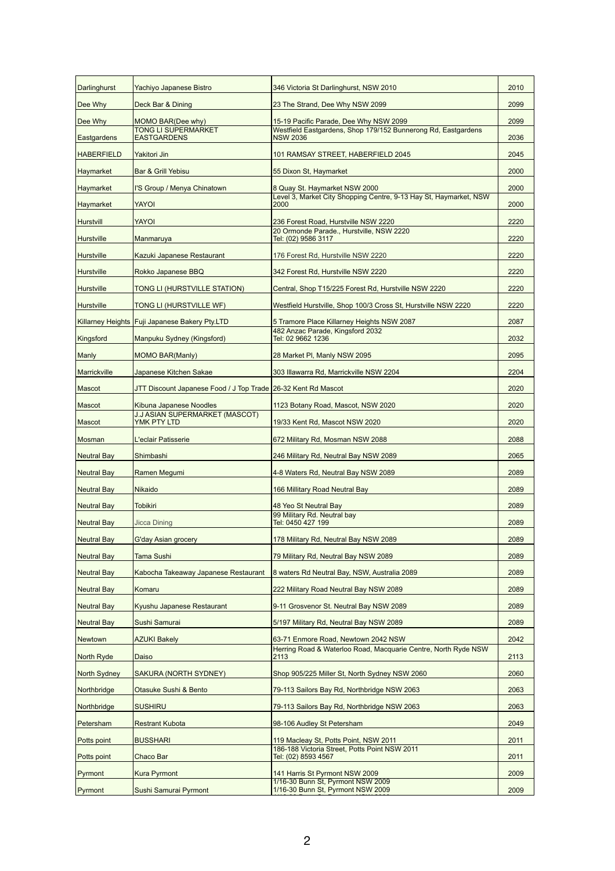| <b>Darlinghurst</b> | Yachiyo Japanese Bistro                                       | 346 Victoria St Darlinghurst, NSW 2010                                           | 2010 |
|---------------------|---------------------------------------------------------------|----------------------------------------------------------------------------------|------|
| Dee Why             | Deck Bar & Dining                                             | 23 The Strand, Dee Why NSW 2099                                                  | 2099 |
| Dee Why             | MOMO BAR(Dee why)                                             | 15-19 Pacific Parade, Dee Why NSW 2099                                           | 2099 |
| Eastgardens         | <b>TONG LI SUPERMARKET</b><br><b>EASTGARDENS</b>              | Westfield Eastgardens, Shop 179/152 Bunnerong Rd, Eastgardens<br><b>NSW 2036</b> | 2036 |
| <b>HABERFIELD</b>   | Yakitori Jin                                                  | 101 RAMSAY STREET, HABERFIELD 2045                                               | 2045 |
| <b>Haymarket</b>    | <b>Bar &amp; Grill Yebisu</b>                                 | 55 Dixon St, Haymarket                                                           | 2000 |
| <b>Haymarket</b>    | I'S Group / Menya Chinatown                                   | 8 Quay St. Haymarket NSW 2000                                                    | 2000 |
| <b>Haymarket</b>    | <b>YAYOI</b>                                                  | Level 3, Market City Shopping Centre, 9-13 Hay St, Haymarket, NSW<br>2000        | 2000 |
| Hurstvill           | <b>YAYOI</b>                                                  | 236 Forest Road, Hurstville NSW 2220                                             | 2220 |
| <b>Hurstville</b>   | Manmaruya                                                     | 20 Ormonde Parade., Hurstville, NSW 2220<br>Tel: (02) 9586 3117                  | 2220 |
| <b>Hurstville</b>   | Kazuki Japanese Restaurant                                    | 176 Forest Rd, Hurstville NSW 2220                                               | 2220 |
| Hurstville          | Rokko Japanese BBQ                                            | 342 Forest Rd, Hurstville NSW 2220                                               | 2220 |
| <b>Hurstville</b>   | TONG LI (HURSTVILLE STATION)                                  | Central, Shop T15/225 Forest Rd, Hurstville NSW 2220                             | 2220 |
| <b>Hurstville</b>   | TONG LI (HURSTVILLE WF)                                       | Westfield Hurstville, Shop 100/3 Cross St, Hurstville NSW 2220                   | 2220 |
|                     | Killarney Heights   Fuji Japanese Bakery Pty.LTD              | 5 Tramore Place Killarney Heights NSW 2087                                       | 2087 |
| Kingsford           | Manpuku Sydney (Kingsford)                                    | 482 Anzac Parade, Kingsford 2032<br>Tel: 02 9662 1236                            | 2032 |
| Manly               | <b>MOMO BAR(Manly)</b>                                        | 28 Market PI, Manly NSW 2095                                                     | 2095 |
| Marrickville        | Japanese Kitchen Sakae                                        | 303 Illawarra Rd, Marrickville NSW 2204                                          | 2204 |
| Mascot              | JTT Discount Japanese Food / J Top Trade 26-32 Kent Rd Mascot |                                                                                  | 2020 |
| Mascot              | Kibuna Japanese Noodles                                       | 1123 Botany Road, Mascot, NSW 2020                                               | 2020 |
| Mascot              | <b>J.J ASIAN SUPERMARKET (MASCOT)</b><br>YMK PTY LTD          | 19/33 Kent Rd, Mascot NSW 2020                                                   | 2020 |
| Mosman              | L'eclair Patisserie                                           | 672 Military Rd, Mosman NSW 2088                                                 | 2088 |
| Neutral Bay         | Shimbashi                                                     | 246 Military Rd, Neutral Bay NSW 2089                                            | 2065 |
| <b>Neutral Bay</b>  | Ramen Megumi                                                  | 4-8 Waters Rd, Neutral Bay NSW 2089                                              | 2089 |
| <b>Neutral Bay</b>  | <b>Nikaido</b>                                                | 166 Millitary Road Neutral Bay                                                   | 2089 |
| <b>Neutral Bay</b>  | <b>Tobikiri</b>                                               | 48 Yeo St Neutral Bay                                                            | 2089 |
| <b>Neutral Bay</b>  | <b>Jicca Dining</b>                                           | 99 Military Rd. Neutral bay<br>Tel: 0450 427 199                                 | 2089 |
| <b>Neutral Bay</b>  | <b>G'day Asian grocery</b>                                    | 178 Military Rd, Neutral Bay NSW 2089                                            | 2089 |
| <b>Neutral Bay</b>  | <b>Tama Sushi</b>                                             | 79 Military Rd, Neutral Bay NSW 2089                                             | 2089 |
| <b>Neutral Bay</b>  | Kabocha Takeaway Japanese Restaurant                          | 8 waters Rd Neutral Bay, NSW, Australia 2089                                     | 2089 |
| <b>Neutral Bay</b>  | Komaru                                                        | 222 Military Road Neutral Bay NSW 2089                                           | 2089 |
| <b>Neutral Bay</b>  | Kyushu Japanese Restaurant                                    | 9-11 Grosvenor St. Neutral Bay NSW 2089                                          | 2089 |
| <b>Neutral Bay</b>  | Sushi Samurai                                                 | 5/197 Military Rd, Neutral Bay NSW 2089                                          | 2089 |
| Newtown             | <b>AZUKI Bakely</b>                                           | 63-71 Enmore Road, Newtown 2042 NSW                                              | 2042 |
| North Ryde          | Daiso                                                         | Herring Road & Waterloo Road, Macquarie Centre, North Ryde NSW<br>2113           | 2113 |
| North Sydney        | <b>SAKURA (NORTH SYDNEY)</b>                                  | Shop 905/225 Miller St, North Sydney NSW 2060                                    | 2060 |
| Northbridge         | Otasuke Sushi & Bento                                         | 79-113 Sailors Bay Rd, Northbridge NSW 2063                                      | 2063 |
| Northbridge         | <b>SUSHIRU</b>                                                | 79-113 Sailors Bay Rd, Northbridge NSW 2063                                      | 2063 |
| Petersham           | <b>Restrant Kubota</b>                                        | 98-106 Audley St Petersham                                                       | 2049 |
| Potts point         | <b>BUSSHARI</b>                                               | 119 Macleay St, Potts Point, NSW 2011                                            | 2011 |
| Potts point         | Chaco Bar                                                     | 186-188 Victoria Street, Potts Point NSW 2011<br>Tel: (02) 8593 4567             | 2011 |
| Pyrmont             | <b>Kura Pyrmont</b>                                           | 141 Harris St Pyrmont NSW 2009                                                   | 2009 |
| Pyrmont             | Sushi Samurai Pyrmont                                         | 1/16-30 Bunn St, Pyrmont NSW 2009<br>1/16-30 Bunn St, Pyrmont NSW 2009           | 2009 |
|                     |                                                               |                                                                                  |      |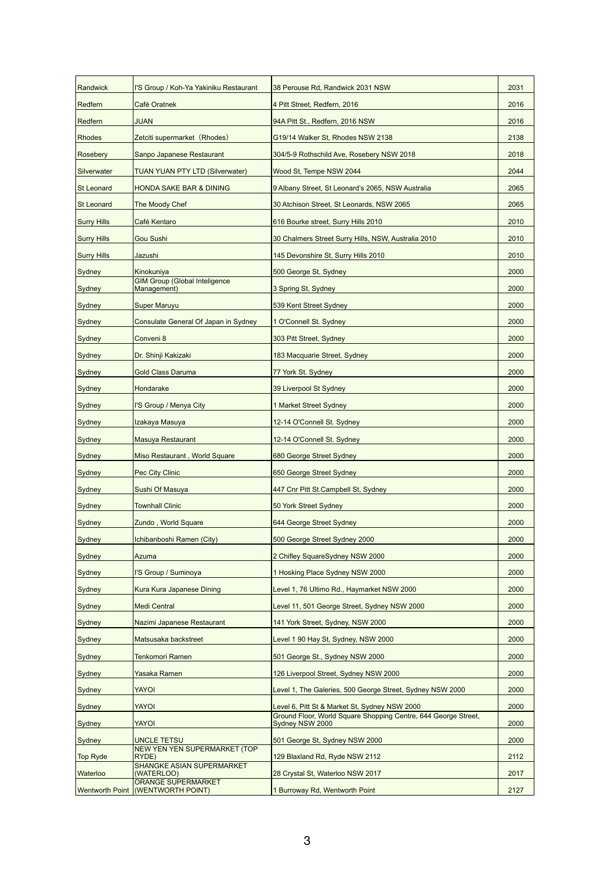| Randwick           | I'S Group / Koh-Ya Yakiniku Restaurant              | 38 Perouse Rd, Randwick 2031 NSW                                                  | 2031 |
|--------------------|-----------------------------------------------------|-----------------------------------------------------------------------------------|------|
| <b>Redfern</b>     | Café Oratnek                                        | 4 Pitt Street, Redfern, 2016                                                      | 2016 |
| Redfern            | <b>JUAN</b>                                         | 94A Pitt St., Redfern, 2016 NSW                                                   | 2016 |
| <b>Rhodes</b>      | Zetciti supermarket (Rhodes)                        | G19/14 Walker St, Rhodes NSW 2138                                                 | 2138 |
| Rosebery           | Sanpo Japanese Restaurant                           | 304/5-9 Rothschild Ave, Rosebery NSW 2018                                         | 2018 |
| Silverwater        | <b>TUAN YUAN PTY LTD (Silverwater)</b>              | Wood St, Tempe NSW 2044                                                           | 2044 |
| <b>St Leonard</b>  | <b>HONDA SAKE BAR &amp; DINING</b>                  | 9 Albany Street, St Leonard's 2065, NSW Australia                                 | 2065 |
| <b>St Leonard</b>  | The Moody Chef                                      | 30 Atchison Street, St Leonards, NSW 2065                                         | 2065 |
| <b>Surry Hills</b> | Café Kentaro                                        | 616 Bourke street, Surry Hills 2010                                               | 2010 |
| <b>Surry Hills</b> | <b>Gou Sushi</b>                                    | 30 Chalmers Street Surry Hills, NSW, Australia 2010                               | 2010 |
| <b>Surry Hills</b> | Jazushi                                             | 145 Devonshire St, Surry Hills 2010                                               | 2010 |
| Sydney             | Kinokuniya                                          | 500 George St, Sydney                                                             | 2000 |
| Sydney             | <b>GIM Group (Global Inteligence</b><br>Management) | 3 Spring St, Sydney                                                               | 2000 |
| Sydney             | <b>Super Maruyu</b>                                 | 539 Kent Street Sydney                                                            | 2000 |
| Sydney             | <b>Consulate General Of Japan in Sydney</b>         | 1 O'Connell St. Sydney                                                            | 2000 |
| Sydney             | Conveni 8                                           | 303 Pitt Street, Sydney                                                           | 2000 |
| <b>Sydney</b>      | Dr. Shinji Kakizaki                                 | 183 Macquarie Street, Sydney                                                      | 2000 |
| Sydney             | <b>Gold Class Daruma</b>                            | 77 York St. Sydney                                                                | 2000 |
| Sydney             | Hondarake                                           | 39 Liverpool St Sydney                                                            | 2000 |
| Sydney             | I'S Group / Menya City                              | 1 Market Street Sydney                                                            | 2000 |
| Sydney             | Izakaya Masuya                                      | 12-14 O'Connell St. Sydney                                                        | 2000 |
| Sydney             | Masuya Restaurant                                   | 12-14 O'Connell St. Sydney                                                        | 2000 |
| Sydney             | Miso Restaurant, World Square                       | 680 George Street Sydney                                                          | 2000 |
| Sydney             | <b>Pec City Clinic</b>                              | 650 George Street Sydney                                                          | 2000 |
| Sydney             | Sushi Of Masuya                                     | 447 Cnr Pitt St.Campbell St, Sydney                                               | 2000 |
| Sydney             | <b>Townhall Clinic</b>                              | 50 York Street Sydney                                                             | 2000 |
| Sydney             | Zundo, World Square                                 | 644 George Street Sydney                                                          | 2000 |
| Sydney             | Ichibanboshi Ramen (City)                           | 500 George Street Sydney 2000                                                     | 2000 |
| Sydney             | Azuma                                               | 2 Chifley SquareSydney NSW 2000                                                   | 2000 |
| Sydney             | I'S Group / Suminoya                                | 1 Hosking Place Sydney NSW 2000                                                   | 2000 |
| Sydney             | <b>Kura Kura Japanese Dining</b>                    | Level 1, 76 Ultimo Rd., Haymarket NSW 2000                                        | 2000 |
| Sydney             | <b>Medi Central</b>                                 | Level 11, 501 George Street, Sydney NSW 2000                                      | 2000 |
| Sydney             | Nazimi Japanese Restaurant                          | 141 York Street, Sydney, NSW 2000                                                 | 2000 |
| Sydney             | Matsusaka backstreet                                | Level 1 90 Hay St, Sydney, NSW 2000                                               | 2000 |
| Sydney             | <b>Tenkomori Ramen</b>                              | 501 George St., Sydney NSW 2000                                                   | 2000 |
| <b>Sydney</b>      | Yasaka Ramen                                        | 126 Liverpool Street, Sydney NSW 2000                                             | 2000 |
| <b>Sydney</b>      | YAYOI                                               | Level 1, The Galeries, 500 George Street, Sydney NSW 2000                         | 2000 |
| <b>Sydney</b>      | YAYOI                                               | Level 6, Pitt St & Market St, Sydney NSW 2000                                     | 2000 |
| <b>Sydney</b>      | YAYOI                                               | Ground Floor, World Square Shopping Centre, 644 George Street,<br>Sydney NSW 2000 | 2000 |
| <b>Sydney</b>      | <b>UNCLE TETSU</b>                                  | 501 George St, Sydney NSW 2000                                                    | 2000 |
| <b>Top Ryde</b>    | <b>NEW YEN YEN SUPERMARKET (TOP</b><br>RYDE)        | 129 Blaxland Rd, Ryde NSW 2112                                                    | 2112 |
| Waterloo           | <b>SHANGKE ASIAN SUPERMARKET</b>                    |                                                                                   |      |
|                    | (WATERLOO)                                          | 28 Crystal St, Waterloo NSW 2017                                                  | 2017 |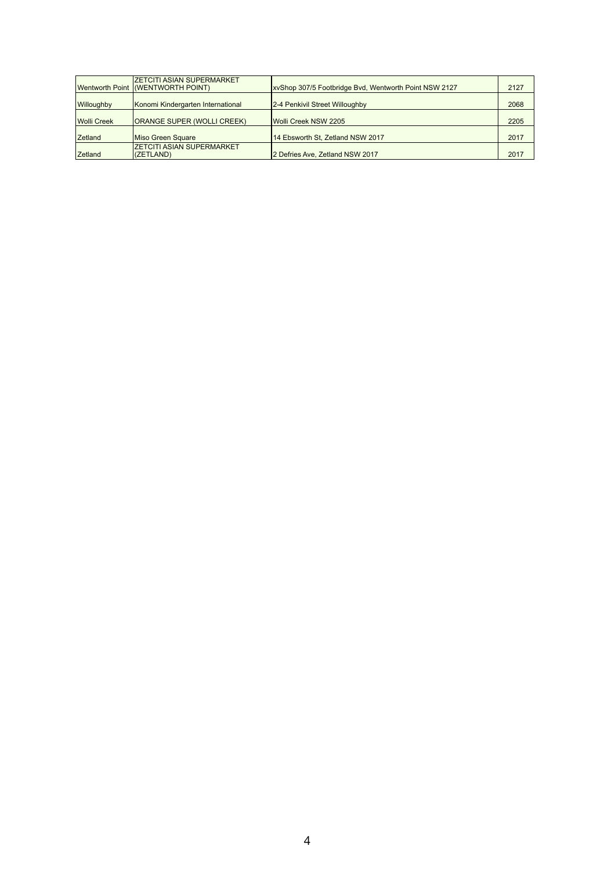|                    | <b>IZETCITI ASIAN SUPERMARKET</b><br><b>Wentworth Point (WENTWORTH POINT)</b> | xvShop 307/5 Footbridge Bvd, Wentworth Point NSW 2127 | 2127 |
|--------------------|-------------------------------------------------------------------------------|-------------------------------------------------------|------|
| <b>Willoughby</b>  | Konomi Kindergarten International                                             | 2-4 Penkivil Street Willoughby                        | 2068 |
| <b>Wolli Creek</b> | <b>ORANGE SUPER (WOLLI CREEK)</b>                                             | Wolli Creek NSW 2205                                  | 2205 |
| <b>Zetland</b>     | Miso Green Square                                                             | 14 Ebsworth St, Zetland NSW 2017                      | 2017 |
| Zetland            | <b>ZETCITI ASIAN SUPERMARKET</b><br>(ZETLAND)                                 | 2 Defries Ave, Zetland NSW 2017                       | 2017 |

## 4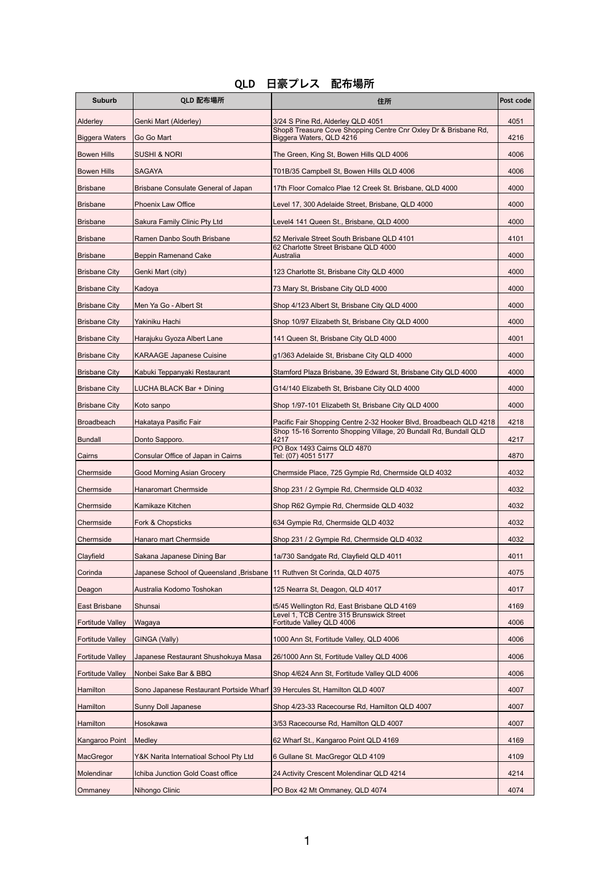| <b>Suburb</b>           | QLD 配布場所                                                                  | 住所                                                                                          | Post code |
|-------------------------|---------------------------------------------------------------------------|---------------------------------------------------------------------------------------------|-----------|
| Alderley                | Genki Mart (Alderley)                                                     | 3/24 S Pine Rd, Alderley QLD 4051                                                           | 4051      |
| <b>Biggera Waters</b>   | Go Go Mart                                                                | Shop8 Treasure Cove Shopping Centre Cnr Oxley Dr & Brisbane Rd,<br>Biggera Waters, QLD 4216 | 4216      |
| <b>Bowen Hills</b>      | <b>SUSHI &amp; NORI</b>                                                   | The Green, King St, Bowen Hills QLD 4006                                                    | 4006      |
| <b>Bowen Hills</b>      | <b>SAGAYA</b>                                                             | T01B/35 Campbell St, Bowen Hills QLD 4006                                                   | 4006      |
| <b>Brisbane</b>         | Brisbane Consulate General of Japan                                       | 17th Floor Comalco Plae 12 Creek St. Brisbane, QLD 4000                                     | 4000      |
| <b>Brisbane</b>         | <b>Phoenix Law Office</b>                                                 | Level 17, 300 Adelaide Street, Brisbane, QLD 4000                                           | 4000      |
| <b>Brisbane</b>         | Sakura Family Clinic Pty Ltd                                              | Level4 141 Queen St., Brisbane, QLD 4000                                                    | 4000      |
| Brisbane                | Ramen Danbo South Brisbane                                                | 52 Merivale Street South Brisbane QLD 4101                                                  | 4101      |
| <b>Brisbane</b>         | <b>Beppin Ramenand Cake</b>                                               | 62 Charlotte Street Brisbane QLD 4000<br>Australia                                          | 4000      |
| <b>Brisbane City</b>    | Genki Mart (city)                                                         | 123 Charlotte St, Brisbane City QLD 4000                                                    | 4000      |
| <b>Brisbane City</b>    | Kadoya                                                                    | 73 Mary St, Brisbane City QLD 4000                                                          | 4000      |
| <b>Brisbane City</b>    | Men Ya Go - Albert St                                                     | Shop 4/123 Albert St, Brisbane City QLD 4000                                                | 4000      |
| <b>Brisbane City</b>    | Yakiniku Hachi                                                            | Shop 10/97 Elizabeth St, Brisbane City QLD 4000                                             | 4000      |
| <b>Brisbane City</b>    | Harajuku Gyoza Albert Lane                                                | 141 Queen St, Brisbane City QLD 4000                                                        | 4001      |
| <b>Brisbane City</b>    | <b>KARAAGE Japanese Cuisine</b>                                           | g1/363 Adelaide St, Brisbane City QLD 4000                                                  | 4000      |
| <b>Brisbane City</b>    | Kabuki Teppanyaki Restaurant                                              | Stamford Plaza Brisbane, 39 Edward St, Brisbane City QLD 4000                               | 4000      |
| <b>Brisbane City</b>    | LUCHA BLACK Bar + Dining                                                  | G14/140 Elizabeth St, Brisbane City QLD 4000                                                | 4000      |
| <b>Brisbane City</b>    | Koto sanpo                                                                | Shop 1/97-101 Elizabeth St, Brisbane City QLD 4000                                          | 4000      |
| <b>Broadbeach</b>       | Hakataya Pasific Fair                                                     | Pacific Fair Shopping Centre 2-32 Hooker Blvd, Broadbeach QLD 4218                          | 4218      |
| <b>Bundall</b>          | Donto Sapporo.                                                            | Shop 15-16 Sorrento Shopping Village, 20 Bundall Rd, Bundall QLD<br>4217                    | 4217      |
| Cairns                  | Consular Office of Japan in Cairns                                        | PO Box 1493 Cairns QLD 4870<br>Tel: (07) 4051 5177                                          | 4870      |
| Chermside               | <b>Good Morning Asian Grocery</b>                                         | Chermside Place, 725 Gympie Rd, Chermside QLD 4032                                          | 4032      |
| Chermside               | <b>Hanaromart Chermside</b>                                               | Shop 231 / 2 Gympie Rd, Chermside QLD 4032                                                  | 4032      |
| Chermside               | Kamikaze Kitchen                                                          | Shop R62 Gympie Rd, Chermside QLD 4032                                                      | 4032      |
| Chermside               | <b>Fork &amp; Chopsticks</b>                                              | 634 Gympie Rd, Chermside QLD 4032                                                           | 4032      |
| Chermside               | <b>Hanaro mart Chermside</b>                                              | Shop 231 / 2 Gympie Rd, Chermside QLD 4032                                                  | 4032      |
| Clayfield               | Sakana Japanese Dining Bar                                                | 1a/730 Sandgate Rd, Clayfield QLD 4011                                                      | 4011      |
| Corinda                 | Japanese School of Queensland, Brisbane   11 Ruthven St Corinda, QLD 4075 |                                                                                             | 4075      |
| Deagon                  | Australia Kodomo Toshokan                                                 | 125 Nearra St, Deagon, QLD 4017                                                             | 4017      |
| <b>East Brisbane</b>    | Shunsai                                                                   | t5/45 Wellington Rd, East Brisbane QLD 4169                                                 | 4169      |
| <b>Fortitude Valley</b> | Wagaya                                                                    | Level 1, TCB Centre 315 Brunswick Street<br>Fortitude Valley QLD 4006                       | 4006      |
| <b>Fortitude Valley</b> | GINGA (Vally)                                                             | 1000 Ann St, Fortitude Valley, QLD 4006                                                     | 4006      |
| <b>Fortitude Valley</b> | Japanese Restaurant Shushokuya Masa                                       | 26/1000 Ann St, Fortitude Valley QLD 4006                                                   | 4006      |
| <b>Fortitude Valley</b> | Nonbei Sake Bar & BBQ                                                     | Shop 4/624 Ann St, Fortitude Valley QLD 4006                                                | 4006      |
| <b>Hamilton</b>         | Sono Japanese Restaurant Portside Wharf 39 Hercules St, Hamilton QLD 4007 |                                                                                             | 4007      |
| Hamilton                | <b>Sunny Doll Japanese</b>                                                | Shop 4/23-33 Racecourse Rd, Hamilton QLD 4007                                               | 4007      |
| <b>Hamilton</b>         | Hosokawa                                                                  | 3/53 Racecourse Rd, Hamilton QLD 4007                                                       | 4007      |
| Kangaroo Point          | Medley                                                                    | 62 Wharf St., Kangaroo Point QLD 4169                                                       | 4169      |
| MacGregor               | Y&K Narita Internatioal School Pty Ltd                                    | 6 Gullane St. MacGregor QLD 4109                                                            | 4109      |
| Molendinar              | Ichiba Junction Gold Coast office                                         | 24 Activity Crescent Molendinar QLD 4214                                                    | 4214      |
| Ommaney                 | Nihongo Clinic                                                            | PO Box 42 Mt Ommaney, QLD 4074                                                              | 4074      |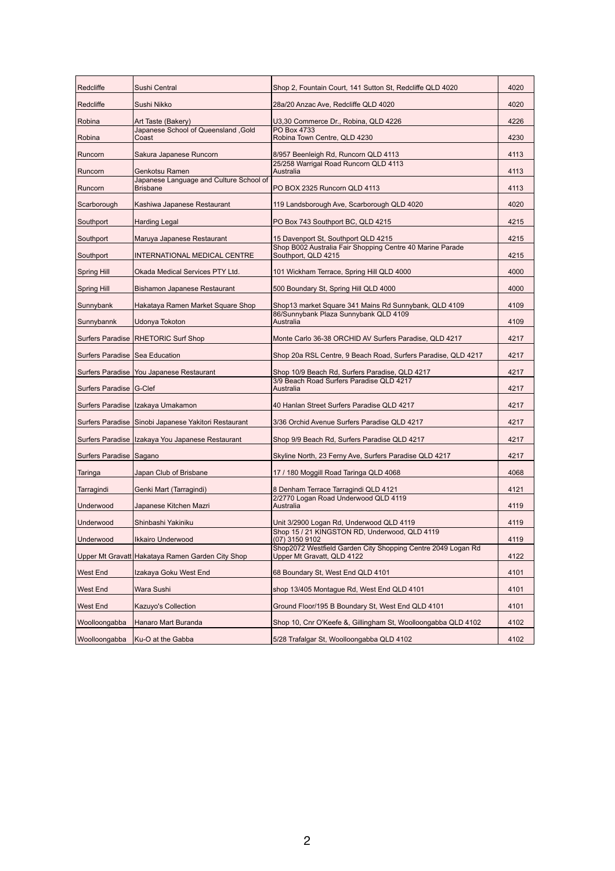| Redcliffe                        | Sushi Central                                              | Shop 2, Fountain Court, 141 Sutton St, Redcliffe QLD 4020                                      | 4020 |
|----------------------------------|------------------------------------------------------------|------------------------------------------------------------------------------------------------|------|
| Redcliffe                        | Sushi Nikko                                                | 28a/20 Anzac Ave, Redcliffe QLD 4020                                                           | 4020 |
| Robina                           | Art Taste (Bakery)                                         | U3,30 Commerce Dr., Robina, QLD 4226                                                           | 4226 |
| Robina                           | Japanese School of Queensland, Gold<br>Coast               | PO Box 4733<br>Robina Town Centre, QLD 4230                                                    | 4230 |
| Runcorn                          | Sakura Japanese Runcorn                                    | 8/957 Beenleigh Rd, Runcorn QLD 4113                                                           | 4113 |
| Runcorn                          | Genkotsu Ramen                                             | 25/258 Warrigal Road Runcorn QLD 4113<br>Australia                                             | 4113 |
| Runcorn                          | Japanese Language and Culture School of<br><b>Brisbane</b> | PO BOX 2325 Runcorn QLD 4113                                                                   | 4113 |
| Scarborough                      | Kashiwa Japanese Restaurant                                | 119 Landsborough Ave, Scarborough QLD 4020                                                     | 4020 |
| Southport                        | <b>Harding Legal</b>                                       | PO Box 743 Southport BC, QLD 4215                                                              | 4215 |
| Southport                        | Maruya Japanese Restaurant                                 | 15 Davenport St, Southport QLD 4215                                                            | 4215 |
|                                  |                                                            | Shop B002 Australia Fair Shopping Centre 40 Marine Parade                                      |      |
| Southport                        | <b>INTERNATIONAL MEDICAL CENTRE</b>                        | Southport, QLD 4215                                                                            | 4215 |
| <b>Spring Hill</b>               | Okada Medical Services PTY Ltd.                            | 101 Wickham Terrace, Spring Hill QLD 4000                                                      | 4000 |
| <b>Spring Hill</b>               | Bishamon Japanese Restaurant                               | 500 Boundary St, Spring Hill QLD 4000                                                          | 4000 |
| Sunnybank                        | Hakataya Ramen Market Square Shop                          | Shop13 market Square 341 Mains Rd Sunnybank, QLD 4109<br>86/Sunnybank Plaza Sunnybank QLD 4109 | 4109 |
| Sunnybannk                       | Udonya Tokoton                                             | Australia                                                                                      | 4109 |
|                                  | Surfers Paradise   RHETORIC Surf Shop                      | Monte Carlo 36-38 ORCHID AV Surfers Paradise, QLD 4217                                         | 4217 |
| Surfers Paradise   Sea Education |                                                            | Shop 20a RSL Centre, 9 Beach Road, Surfers Paradise, QLD 4217                                  | 4217 |
|                                  | Surfers Paradise   You Japanese Restaurant                 | Shop 10/9 Beach Rd, Surfers Paradise, QLD 4217                                                 | 4217 |
| Surfers Paradise G-Clef          |                                                            | 3/9 Beach Road Surfers Paradise QLD 4217<br>Australia                                          | 4217 |
|                                  | Surfers Paradise   Izakaya Umakamon                        | 40 Hanlan Street Surfers Paradise QLD 4217                                                     | 4217 |
|                                  | Surfers Paradise   Sinobi Japanese Yakitori Restaurant     | 3/36 Orchid Avenue Surfers Paradise QLD 4217                                                   | 4217 |
|                                  | Surfers Paradise   Izakaya You Japanese Restaurant         | Shop 9/9 Beach Rd, Surfers Paradise QLD 4217                                                   | 4217 |
| Surfers Paradise   Sagano        |                                                            | Skyline North, 23 Ferny Ave, Surfers Paradise QLD 4217                                         | 4217 |
| Taringa                          | Japan Club of Brisbane                                     | 17 / 180 Moggill Road Taringa QLD 4068                                                         | 4068 |
| Tarragindi                       | Genki Mart (Tarragindi)                                    | 8 Denham Terrace Tarragindi QLD 4121                                                           | 4121 |
| Underwood                        | Japanese Kitchen Mazri                                     | 2/2770 Logan Road Underwood QLD 4119<br>Australia                                              | 4119 |
| Underwood                        | Shinbashi Yakiniku                                         | Unit 3/2900 Logan Rd, Underwood QLD 4119                                                       | 4119 |
| Underwood                        | <b>Ikkairo Underwood</b>                                   | Shop 15 / 21 KINGSTON RD, Underwood, QLD 4119<br>(07) 3150 9102                                | 4119 |
|                                  |                                                            | Shop2072 Westfield Garden City Shopping Centre 2049 Logan Rd                                   |      |
|                                  | Upper Mt Gravatt Hakataya Ramen Garden City Shop           | Upper Mt Gravatt, QLD 4122                                                                     | 4122 |
| <b>West End</b>                  | Izakaya Goku West End                                      | 68 Boundary St, West End QLD 4101                                                              | 4101 |
| <b>West End</b>                  | <b>Wara Sushi</b>                                          | shop 13/405 Montague Rd, West End QLD 4101                                                     | 4101 |
| <b>West End</b>                  | <b>Kazuyo's Collection</b>                                 | Ground Floor/195 B Boundary St, West End QLD 4101                                              | 4101 |
| Woolloongabba                    | Hanaro Mart Buranda                                        | Shop 10, Cnr O'Keefe &, Gillingham St, Woolloongabba QLD 4102                                  | 4102 |
| Woolloongabba                    | Ku-O at the Gabba                                          | 5/28 Trafalgar St, Woolloongabba QLD 4102                                                      | 4102 |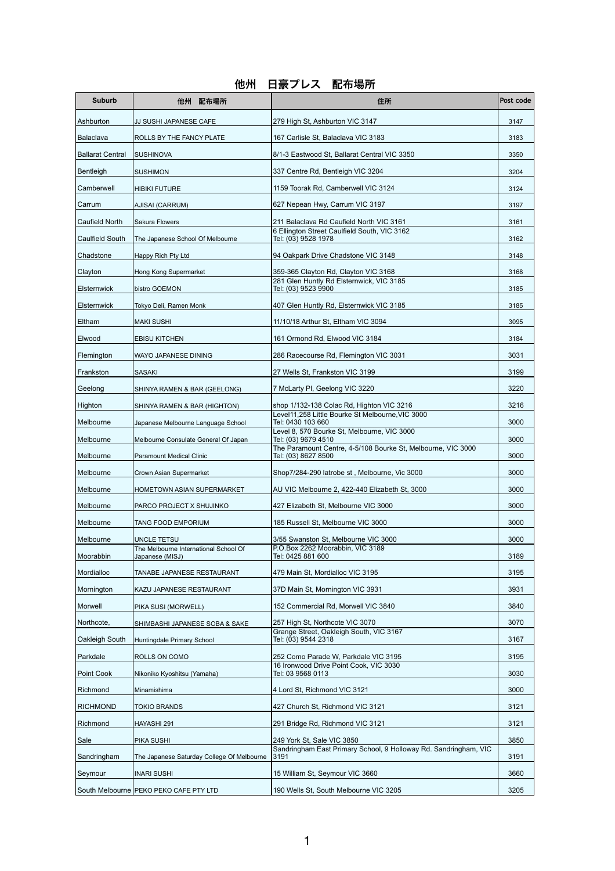## 他州 日豪プレス 配布場所

| <b>Suburb</b>           | 他州<br>配布場所                                               | 住所                                                                                  | Post code |
|-------------------------|----------------------------------------------------------|-------------------------------------------------------------------------------------|-----------|
| Ashburton               | JJ SUSHI JAPANESE CAFE                                   | 279 High St, Ashburton VIC 3147                                                     | 3147      |
| Balaclava               | ROLLS BY THE FANCY PLATE                                 | 167 Carlisle St, Balaclava VIC 3183                                                 | 3183      |
| <b>Ballarat Central</b> | SUSHINOVA                                                | 8/1-3 Eastwood St, Ballarat Central VIC 3350                                        | 3350      |
| Bentleigh               | <b>SUSHIMON</b>                                          | 337 Centre Rd, Bentleigh VIC 3204                                                   | 3204      |
| Camberwell              | <b>HIBIKI FUTURE</b>                                     | 1159 Toorak Rd, Camberwell VIC 3124                                                 | 3124      |
| Carrum                  | AJISAI (CARRUM)                                          | 627 Nepean Hwy, Carrum VIC 3197                                                     | 3197      |
| Caufield North          | Sakura Flowers                                           | 211 Balaclava Rd Caufield North VIC 3161                                            | 3161      |
| <b>Caulfield South</b>  | The Japanese School Of Melbourne                         | 6 Ellington Street Caulfield South, VIC 3162<br>Tel: (03) 9528 1978                 | 3162      |
| Chadstone               | Happy Rich Pty Ltd                                       | 94 Oakpark Drive Chadstone VIC 3148                                                 | 3148      |
| <b>Clayton</b>          | Hong Kong Supermarket                                    | 359-365 Clayton Rd, Clayton VIC 3168                                                | 3168      |
| <b>Elsternwick</b>      | bistro GOEMON                                            | 281 Glen Huntly Rd Elsternwick, VIC 3185<br>Tel: (03) 9523 9900                     | 3185      |
| <b>Elsternwick</b>      | Tokyo Deli, Ramen Monk                                   | 407 Glen Huntly Rd, Elsternwick VIC 3185                                            | 3185      |
| Eltham                  | <b>MAKI SUSHI</b>                                        | 11/10/18 Arthur St, Eltham VIC 3094                                                 | 3095      |
| Elwood                  | <b>EBISU KITCHEN</b>                                     | 161 Ormond Rd, Elwood VIC 3184                                                      | 3184      |
| Flemington              | <b>WAYO JAPANESE DINING</b>                              | 286 Racecourse Rd, Flemington VIC 3031                                              | 3031      |
| Frankston               | <b>SASAKI</b>                                            | 27 Wells St, Frankston VIC 3199                                                     | 3199      |
| Geelong                 | SHINYA RAMEN & BAR (GEELONG)                             | 7 McLarty PI, Geelong VIC 3220                                                      | 3220      |
| Highton                 | SHINYA RAMEN & BAR (HIGHTON)                             | shop 1/132-138 Colac Rd, Highton VIC 3216                                           | 3216      |
| Melbourne               | Japanese Melbourne Language School                       | Level11,258 Little Bourke St Melbourne, VIC 3000<br>Tel: 0430 103 660               | 3000      |
| Melbourne               | Melbourne Consulate General Of Japan                     | Level 8, 570 Bourke St, Melbourne, VIC 3000<br>Tel: (03) 9679 4510                  | 3000      |
| Melbourne               | <b>Paramount Medical Clinic</b>                          | The Paramount Centre, 4-5/108 Bourke St, Melbourne, VIC 3000<br>Tel: (03) 8627 8500 | 3000      |
| Melbourne               | Crown Asian Supermarket                                  | Shop7/284-290 latrobe st, Melbourne, Vic 3000                                       | 3000      |
| Melbourne               | <b>HOMETOWN ASIAN SUPERMARKET</b>                        | AU VIC Melbourne 2, 422-440 Elizabeth St, 3000                                      | 3000      |
| Melbourne               | PARCO PROJECT X SHUJINKO                                 | 427 Elizabeth St, Melbourne VIC 3000                                                | 3000      |
| Melbourne               | TANG FOOD EMPORIUM                                       | 185 Russell St, Melbourne VIC 3000                                                  | 3000      |
| Melbourne               | <b>UNCLE TETSU</b>                                       | 3/55 Swanston St, Melbourne VIC 3000                                                | 3000      |
| Moorabbin               | The Melbourne International School Of<br>Japanese (MISJ) | P.O.Box 2262 Moorabbin, VIC 3189<br>Tel: 0425 881 600                               | 3189      |
| Mordialloc              | TANABE JAPANESE RESTAURANT                               | 479 Main St, Mordialloc VIC 3195                                                    | 3195      |
| Mornington              | KAZU JAPANESE RESTAURANT                                 | 37D Main St, Mornington VIC 3931                                                    | 3931      |
| Morwell                 | PIKA SUSI (MORWELL)                                      | 152 Commercial Rd, Morwell VIC 3840                                                 | 3840      |
| Northcote,              | SHIMBASHI JAPANESE SOBA & SAKE                           | 257 High St, Northcote VIC 3070                                                     | 3070      |
| Oakleigh South          | Huntingdale Primary School                               | Grange Street, Oakleigh South, VIC 3167<br>Tel: (03) 9544 2318                      | 3167      |
| Parkdale                | ROLLS ON COMO                                            | 252 Como Parade W, Parkdale VIC 3195                                                | 3195      |
| Point Cook              | Nikoniko Kyoshitsu (Yamaha)                              | 16 Ironwood Drive Point Cook, VIC 3030<br>Tel: 03 9568 0113                         | 3030      |
| Richmond                | Minamishima                                              | 4 Lord St, Richmond VIC 3121                                                        | 3000      |
| <b>RICHMOND</b>         | TOKIO BRANDS                                             | 427 Church St, Richmond VIC 3121                                                    | 3121      |
| Richmond                | HAYASHI 291                                              | 291 Bridge Rd, Richmond VIC 3121                                                    | 3121      |
| Sale                    | <b>PIKA SUSHI</b>                                        | 249 York St, Sale VIC 3850                                                          | 3850      |
| Sandringham             | The Japanese Saturday College Of Melbourne               | Sandringham East Primary School, 9 Holloway Rd. Sandringham, VIC<br>3191            | 3191      |
| Seymour                 | <b>INARI SUSHI</b>                                       | 15 William St, Seymour VIC 3660                                                     | 3660      |
|                         | South Melbourne   PEKO PEKO CAFE PTY LTD                 | 190 Wells St, South Melbourne VIC 3205                                              | 3205      |